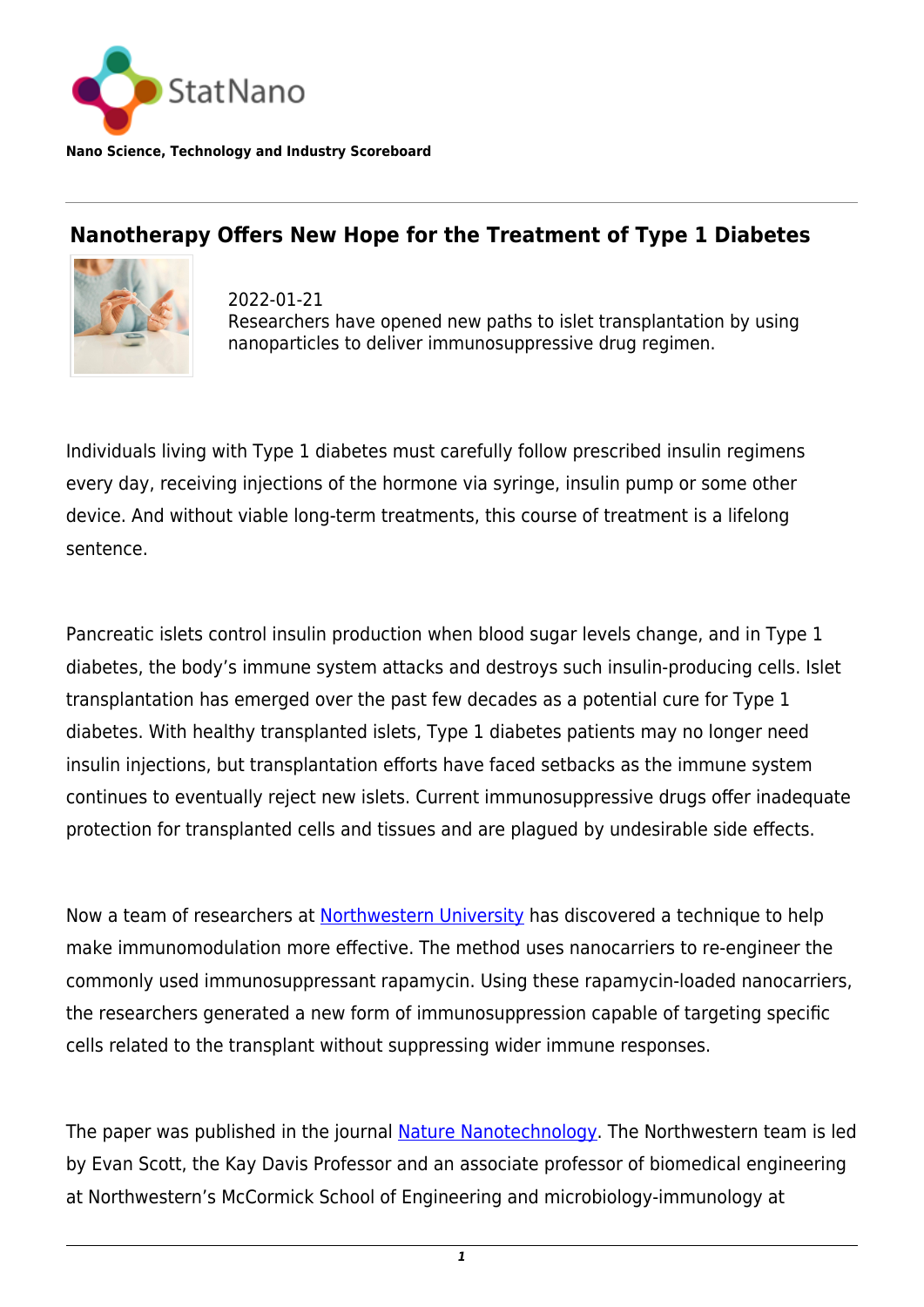

**Nano Science, Technology and Industry Scoreboard**

## **Nanotherapy Offers New Hope for the Treatment of Type 1 Diabetes**



2022-01-21 Researchers have opened new paths to islet transplantation by using nanoparticles to deliver immunosuppressive drug regimen.

Individuals living with Type 1 diabetes must carefully follow prescribed insulin regimens every day, receiving injections of the hormone via syringe, insulin pump or some other device. And without viable long-term treatments, this course of treatment is a lifelong sentence.

Pancreatic islets control insulin production when blood sugar levels change, and in Type 1 diabetes, the body's immune system attacks and destroys such insulin-producing cells. Islet transplantation has emerged over the past few decades as a potential cure for Type 1 diabetes. With healthy transplanted islets, Type 1 diabetes patients may no longer need insulin injections, but transplantation efforts have faced setbacks as the immune system continues to eventually reject new islets. Current immunosuppressive drugs offer inadequate protection for transplanted cells and tissues and are plagued by undesirable side effects.

Now a team of researchers at [Northwestern University](https://statnano.com/org/Northwestern-University) has discovered a technique to help make immunomodulation more effective. The method uses nanocarriers to re-engineer the commonly used immunosuppressant rapamycin. Using these rapamycin-loaded nanocarriers, the researchers generated a new form of immunosuppression capable of targeting specific cells related to the transplant without suppressing wider immune responses.

The paper was published in the journal [Nature Nanotechnology.](https://www.nature.com/articles/s41565-021-01048-2) The Northwestern team is led by Evan Scott, the Kay Davis Professor and an associate professor of biomedical engineering at Northwestern's McCormick School of Engineering and microbiology-immunology at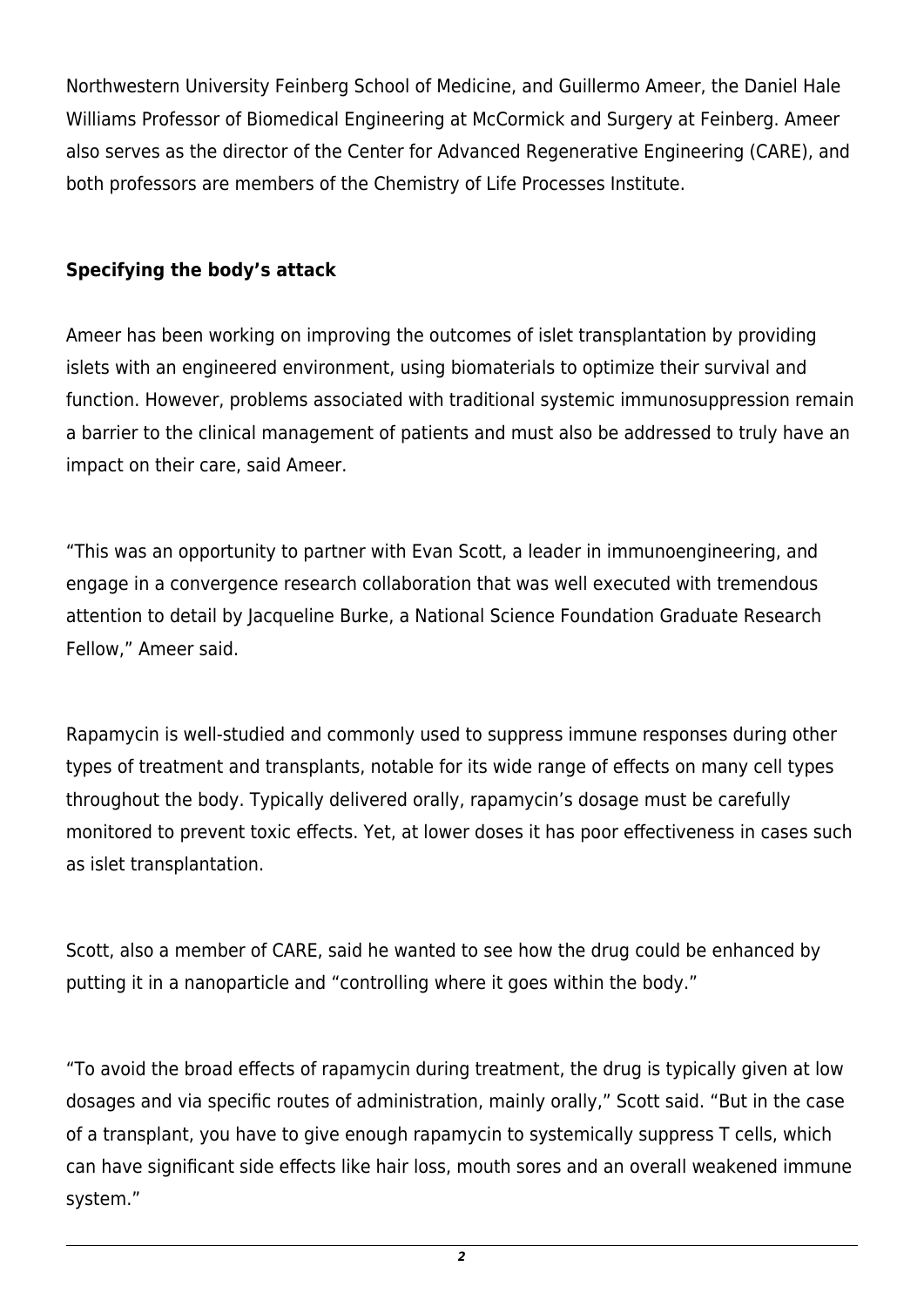Northwestern University Feinberg School of Medicine, and Guillermo Ameer, the Daniel Hale Williams Professor of Biomedical Engineering at McCormick and Surgery at Feinberg. Ameer also serves as the director of the Center for Advanced Regenerative Engineering (CARE), and both professors are members of the Chemistry of Life Processes Institute.

## **Specifying the body's attack**

Ameer has been working on improving the outcomes of islet transplantation by providing islets with an engineered environment, using biomaterials to optimize their survival and function. However, problems associated with traditional systemic immunosuppression remain a barrier to the clinical management of patients and must also be addressed to truly have an impact on their care, said Ameer.

"This was an opportunity to partner with Evan Scott, a leader in immunoengineering, and engage in a convergence research collaboration that was well executed with tremendous attention to detail by Jacqueline Burke, a National Science Foundation Graduate Research Fellow," Ameer said.

Rapamycin is well-studied and commonly used to suppress immune responses during other types of treatment and transplants, notable for its wide range of effects on many cell types throughout the body. Typically delivered orally, rapamycin's dosage must be carefully monitored to prevent toxic effects. Yet, at lower doses it has poor effectiveness in cases such as islet transplantation.

Scott, also a member of CARE, said he wanted to see how the drug could be enhanced by putting it in a nanoparticle and "controlling where it goes within the body."

"To avoid the broad effects of rapamycin during treatment, the drug is typically given at low dosages and via specific routes of administration, mainly orally," Scott said. "But in the case of a transplant, you have to give enough rapamycin to systemically suppress T cells, which can have significant side effects like hair loss, mouth sores and an overall weakened immune system."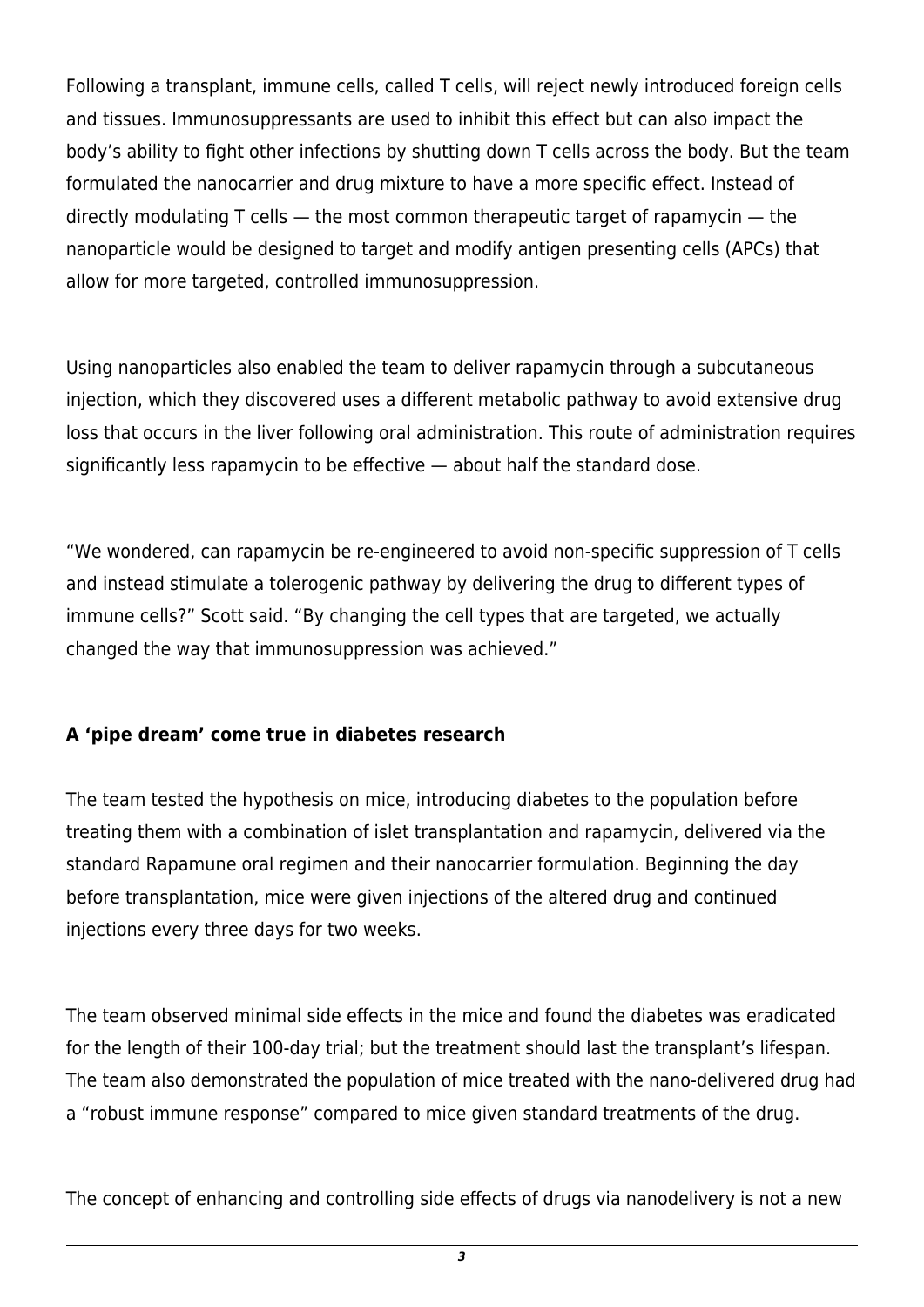Following a transplant, immune cells, called T cells, will reject newly introduced foreign cells and tissues. Immunosuppressants are used to inhibit this effect but can also impact the body's ability to fight other infections by shutting down T cells across the body. But the team formulated the nanocarrier and drug mixture to have a more specific effect. Instead of directly modulating T cells — the most common therapeutic target of rapamycin — the nanoparticle would be designed to target and modify antigen presenting cells (APCs) that allow for more targeted, controlled immunosuppression.

Using nanoparticles also enabled the team to deliver rapamycin through a subcutaneous injection, which they discovered uses a different metabolic pathway to avoid extensive drug loss that occurs in the liver following oral administration. This route of administration requires significantly less rapamycin to be effective — about half the standard dose.

"We wondered, can rapamycin be re-engineered to avoid non-specific suppression of T cells and instead stimulate a tolerogenic pathway by delivering the drug to different types of immune cells?" Scott said. "By changing the cell types that are targeted, we actually changed the way that immunosuppression was achieved."

## **A 'pipe dream' come true in diabetes research**

The team tested the hypothesis on mice, introducing diabetes to the population before treating them with a combination of islet transplantation and rapamycin, delivered via the standard Rapamune oral regimen and their nanocarrier formulation. Beginning the day before transplantation, mice were given injections of the altered drug and continued injections every three days for two weeks.

The team observed minimal side effects in the mice and found the diabetes was eradicated for the length of their 100-day trial; but the treatment should last the transplant's lifespan. The team also demonstrated the population of mice treated with the nano-delivered drug had a "robust immune response" compared to mice given standard treatments of the drug.

The concept of enhancing and controlling side effects of drugs via nanodelivery is not a new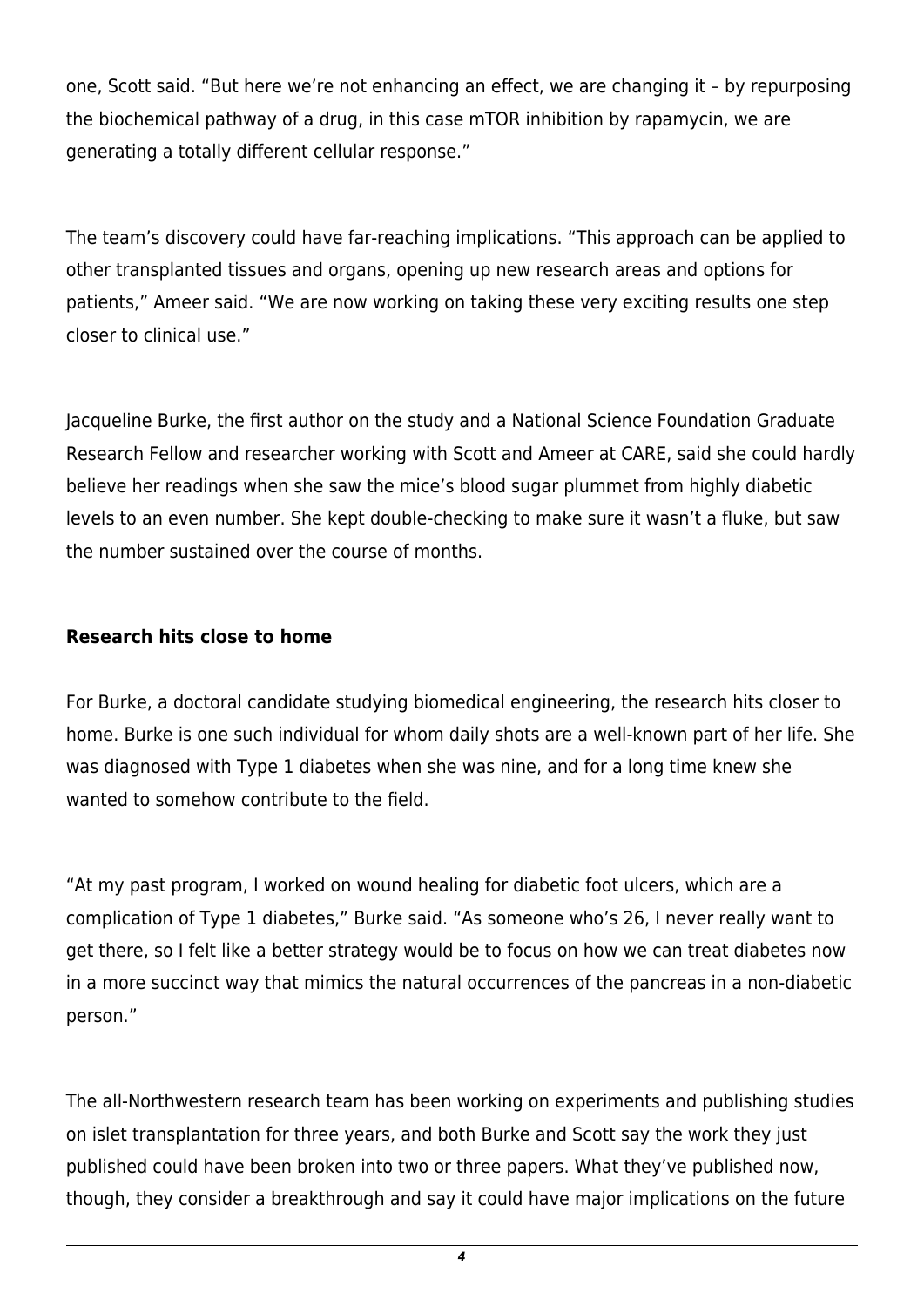one, Scott said. "But here we're not enhancing an effect, we are changing it – by repurposing the biochemical pathway of a drug, in this case mTOR inhibition by rapamycin, we are generating a totally different cellular response."

The team's discovery could have far-reaching implications. "This approach can be applied to other transplanted tissues and organs, opening up new research areas and options for patients," Ameer said. "We are now working on taking these very exciting results one step closer to clinical use."

Jacqueline Burke, the first author on the study and a National Science Foundation Graduate Research Fellow and researcher working with Scott and Ameer at CARE, said she could hardly believe her readings when she saw the mice's blood sugar plummet from highly diabetic levels to an even number. She kept double-checking to make sure it wasn't a fluke, but saw the number sustained over the course of months.

## **Research hits close to home**

For Burke, a doctoral candidate studying biomedical engineering, the research hits closer to home. Burke is one such individual for whom daily shots are a well-known part of her life. She was diagnosed with Type 1 diabetes when she was nine, and for a long time knew she wanted to somehow contribute to the field.

"At my past program, I worked on wound healing for diabetic foot ulcers, which are a complication of Type 1 diabetes," Burke said. "As someone who's 26, I never really want to get there, so I felt like a better strategy would be to focus on how we can treat diabetes now in a more succinct way that mimics the natural occurrences of the pancreas in a non-diabetic person."

The all-Northwestern research team has been working on experiments and publishing studies on islet transplantation for three years, and both Burke and Scott say the work they just published could have been broken into two or three papers. What they've published now, though, they consider a breakthrough and say it could have major implications on the future

*4*